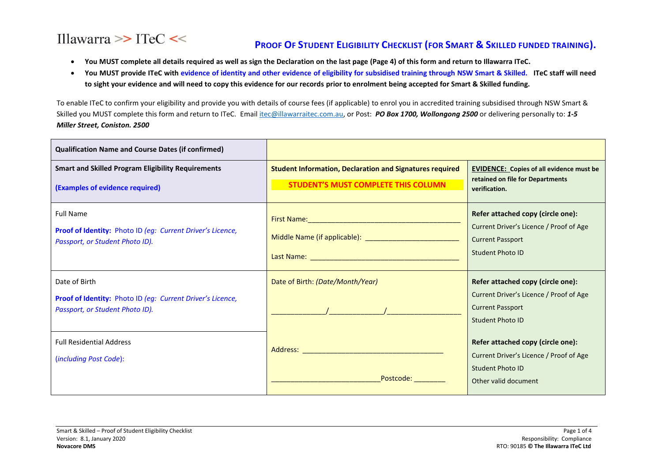# Illawarra  $\gg$  ITeC  $\ll$

### **PROOF OF STUDENT ELIGIBILITY CHECKLIST (FOR SMART & SKILLED FUNDED TRAINING).**

- **You MUST complete all details required as well as sign the Declaration on the last page (Page 4) of this form and return to Illawarra ITeC.**
- **You MUST provide ITeC with evidence of identity and other evidence of eligibility for subsidised training through NSW Smart & Skilled. ITeC staff will need to sight your evidence and will need to copy this evidence for our records prior to enrolment being accepted for Smart & Skilled funding.**

To enable ITeC to confirm your eligibility and provide you with details of course fees (if applicable) to enrol you in accredited training subsidised through NSW Smart & Skilled you MUST complete this form and return to ITeC. Email [itec@illawarraitec.com.au,](mailto:itec@illawarraitec.com.au) or Post: *PO Box 1700, Wollongong 2500* or delivering personally to: *1-5 Miller Street, Coniston. 2500*

| <b>Qualification Name and Course Dates (if confirmed)</b>                                                         |                                                                                                                       |                                                                                                                                    |
|-------------------------------------------------------------------------------------------------------------------|-----------------------------------------------------------------------------------------------------------------------|------------------------------------------------------------------------------------------------------------------------------------|
| <b>Smart and Skilled Program Eligibility Requirements</b><br>(Examples of evidence required)                      | <b>Student Information, Declaration and Signatures required</b><br><b>STUDENT'S MUST COMPLETE THIS COLUMN</b>         | <b>EVIDENCE:</b> Copies of all evidence must be<br>retained on file for Departments<br>verification.                               |
| <b>Full Name</b><br>Proof of Identity: Photo ID (eg: Current Driver's Licence,<br>Passport, or Student Photo ID). | <b>Last Name:</b> And the second contract of the second contract of the second contract of the second contract of the | Refer attached copy (circle one):<br>Current Driver's Licence / Proof of Age<br><b>Current Passport</b><br><b>Student Photo ID</b> |
| Date of Birth<br>Proof of Identity: Photo ID (eg: Current Driver's Licence,<br>Passport, or Student Photo ID).    | Date of Birth: (Date/Month/Year)                                                                                      | Refer attached copy (circle one):<br>Current Driver's Licence / Proof of Age<br><b>Current Passport</b><br><b>Student Photo ID</b> |
| <b>Full Residential Address</b><br>(including Post Code):                                                         | Postcode:                                                                                                             | Refer attached copy (circle one):<br>Current Driver's Licence / Proof of Age<br>Student Photo ID<br>Other valid document           |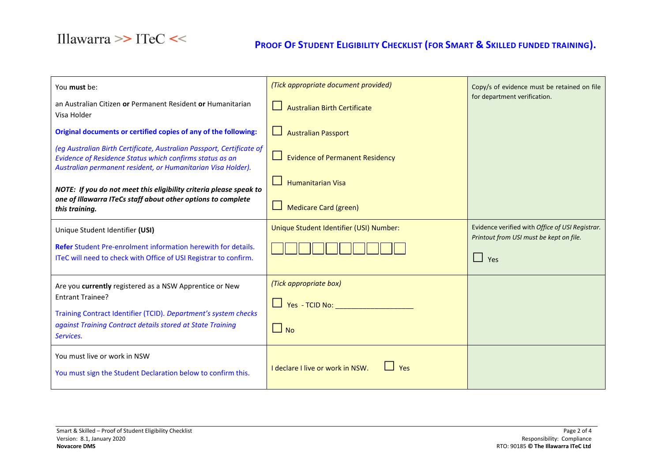

## **PROOF OF STUDENT ELIGIBILITY CHECKLIST (FOR SMART & SKILLED FUNDED TRAINING).**

| You must be:                                                                                                                                                                                      | (Tick appropriate document provided)        | Copy/s of evidence must be retained on file<br>for department verification.                |
|---------------------------------------------------------------------------------------------------------------------------------------------------------------------------------------------------|---------------------------------------------|--------------------------------------------------------------------------------------------|
| an Australian Citizen or Permanent Resident or Humanitarian<br>Visa Holder                                                                                                                        | <b>Australian Birth Certificate</b>         |                                                                                            |
| Original documents or certified copies of any of the following:                                                                                                                                   | Australian Passport                         |                                                                                            |
| (eg Australian Birth Certificate, Australian Passport, Certificate of<br>Evidence of Residence Status which confirms status as an<br>Australian permanent resident, or Humanitarian Visa Holder). | <b>Evidence of Permanent Residency</b><br>ப |                                                                                            |
| NOTE: If you do not meet this eligibility criteria please speak to                                                                                                                                | <b>Humanitarian Visa</b>                    |                                                                                            |
| one of Illawarra ITeCs staff about other options to complete<br>this training.                                                                                                                    | Medicare Card (green)                       |                                                                                            |
| Unique Student Identifier (USI)                                                                                                                                                                   | Unique Student Identifier (USI) Number:     | Evidence verified with Office of USI Registrar.<br>Printout from USI must be kept on file. |
| <b>Refer</b> Student Pre-enrolment information herewith for details.<br>ITeC will need to check with Office of USI Registrar to confirm.                                                          |                                             | $\Box$ Yes                                                                                 |
| Are you currently registered as a NSW Apprentice or New                                                                                                                                           | (Tick appropriate box)                      |                                                                                            |
| <b>Entrant Trainee?</b>                                                                                                                                                                           | $\Box$ Yes - TCID No:                       |                                                                                            |
| Training Contract Identifier (TCID). Department's system checks<br>against Training Contract details stored at State Training<br>Services.                                                        | $\Box$ No                                   |                                                                                            |
|                                                                                                                                                                                                   |                                             |                                                                                            |
| You must live or work in NSW                                                                                                                                                                      | I declare I live or work in NSW.<br>Yes     |                                                                                            |
| You must sign the Student Declaration below to confirm this.                                                                                                                                      |                                             |                                                                                            |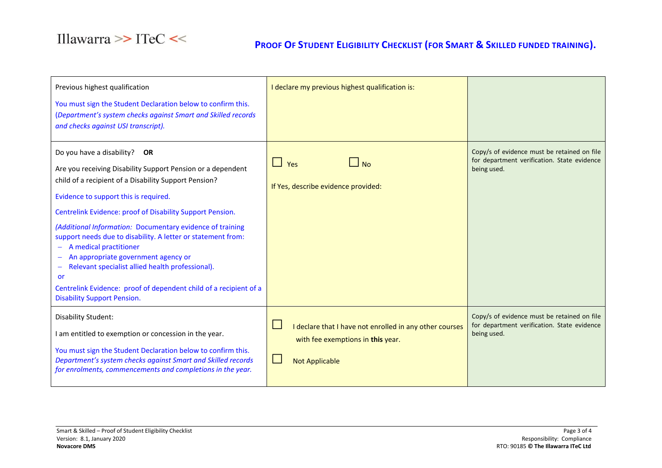

## **PROOF OF STUDENT ELIGIBILITY CHECKLIST (FOR SMART & SKILLED FUNDED TRAINING).**

| Previous highest qualification<br>You must sign the Student Declaration below to confirm this.<br>(Department's system checks against Smart and Skilled records<br>and checks against USI transcript).                                                                                                                                                                                                                                                                                                                                                                                                                                  | I declare my previous highest qualification is:                                                                       |                                                                                                           |
|-----------------------------------------------------------------------------------------------------------------------------------------------------------------------------------------------------------------------------------------------------------------------------------------------------------------------------------------------------------------------------------------------------------------------------------------------------------------------------------------------------------------------------------------------------------------------------------------------------------------------------------------|-----------------------------------------------------------------------------------------------------------------------|-----------------------------------------------------------------------------------------------------------|
| Do you have a disability?<br><b>OR</b><br>Are you receiving Disability Support Pension or a dependent<br>child of a recipient of a Disability Support Pension?<br>Evidence to support this is required.<br>Centrelink Evidence: proof of Disability Support Pension.<br>(Additional Information: Documentary evidence of training<br>support needs due to disability. A letter or statement from:<br>A medical practitioner<br>An appropriate government agency or<br>Relevant specialist allied health professional).<br>or<br>Centrelink Evidence: proof of dependent child of a recipient of a<br><b>Disability Support Pension.</b> | $\Box$ No<br>$\Box$ Yes<br>If Yes, describe evidence provided:                                                        | Copy/s of evidence must be retained on file<br>for department verification. State evidence<br>being used. |
| <b>Disability Student:</b><br>I am entitled to exemption or concession in the year.<br>You must sign the Student Declaration below to confirm this.<br>Department's system checks against Smart and Skilled records<br>for enrolments, commencements and completions in the year.                                                                                                                                                                                                                                                                                                                                                       | I declare that I have not enrolled in any other courses<br>with fee exemptions in this year.<br><b>Not Applicable</b> | Copy/s of evidence must be retained on file<br>for department verification. State evidence<br>being used. |